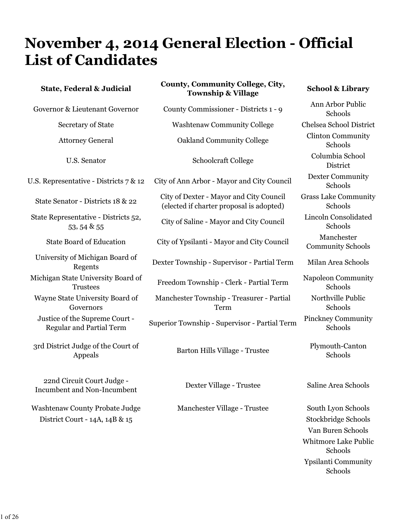# **November 4, 2014 General Election - Official List of Candidates**

| <b>State, Federal &amp; Judicial</b>                              | <b>County, Community College, City,</b><br><b>Township &amp; Village</b>            | <b>School &amp; Library</b>            |
|-------------------------------------------------------------------|-------------------------------------------------------------------------------------|----------------------------------------|
| Governor & Lieutenant Governor                                    | County Commissioner - Districts 1 - 9                                               | Ann Arbor Public<br>Schools            |
| <b>Secretary of State</b>                                         | <b>Washtenaw Community College</b>                                                  | Chelsea School District                |
| <b>Attorney General</b>                                           | <b>Oakland Community College</b>                                                    | <b>Clinton Community</b><br>Schools    |
| U.S. Senator                                                      | Schoolcraft College                                                                 | Columbia School<br>District            |
| U.S. Representative - Districts 7 & 12                            | City of Ann Arbor - Mayor and City Council                                          | <b>Dexter Community</b><br>Schools     |
| State Senator - Districts 18 & 22                                 | City of Dexter - Mayor and City Council<br>(elected if charter proposal is adopted) | <b>Grass Lake Community</b><br>Schools |
| State Representative - Districts 52,<br>53, 54 & 55               | City of Saline - Mayor and City Council                                             | Lincoln Consolidated<br>Schools        |
| <b>State Board of Education</b>                                   | City of Ypsilanti - Mayor and City Council                                          | Manchester<br><b>Community Schools</b> |
| University of Michigan Board of<br>Regents                        | Dexter Township - Supervisor - Partial Term                                         | Milan Area Schools                     |
| Michigan State University Board of<br><b>Trustees</b>             | Freedom Township - Clerk - Partial Term                                             | Napoleon Community<br>Schools          |
| Wayne State University Board of<br>Governors                      | Manchester Township - Treasurer - Partial<br>Term                                   | Northville Public<br>Schools           |
| Justice of the Supreme Court -<br><b>Regular and Partial Term</b> | Superior Township - Supervisor - Partial Term                                       | <b>Pinckney Community</b><br>Schools   |
| 3rd District Judge of the Court of<br>Appeals                     | Barton Hills Village - Trustee                                                      | Plymouth-Canton<br>Schools             |
| 22nd Circuit Court Judge -<br><b>Incumbent and Non-Incumbent</b>  | Dexter Village - Trustee                                                            | Saline Area Schools                    |

Washtenaw County Probate Judge Manchester Village - Trustee South Lyon Schools District Court - 14A, 14B & 15 Stockbridge Schools Van Buren Schools Whitmore Lake Public Schools Ypsilanti Community Schools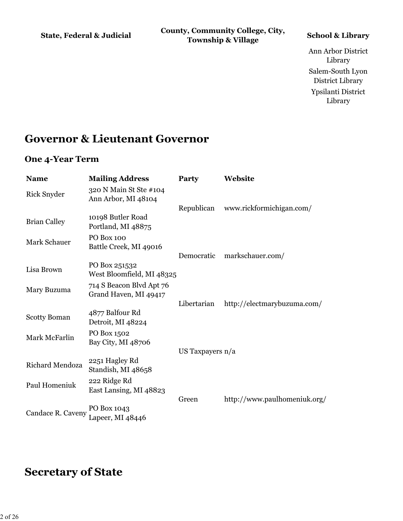**State, Federal & Judicial County, Community College, City, Township & Village School & Library**

Ann Arbor District Library Salem-South Lyon District Library Ypsilanti District Library

### **Governor & Lieutenant Governor**

#### **One 4-Year Term**

| <b>Name</b>         | <b>Mailing Address</b>                            | Party              | Website                      |
|---------------------|---------------------------------------------------|--------------------|------------------------------|
| <b>Rick Snyder</b>  | 320 N Main St Ste #104<br>Ann Arbor, MI 48104     |                    |                              |
|                     |                                                   | Republican         | www.rickformichigan.com/     |
| <b>Brian Calley</b> | 10198 Butler Road<br>Portland, MI 48875           |                    |                              |
| <b>Mark Schauer</b> | <b>PO Box 100</b><br>Battle Creek, MI 49016       |                    |                              |
|                     |                                                   | Democratic         | markschauer.com/             |
| Lisa Brown          | PO Box 251532<br>West Bloomfield, MI 48325        |                    |                              |
| Mary Buzuma         | 714 S Beacon Blvd Apt 76<br>Grand Haven, MI 49417 |                    |                              |
|                     |                                                   | Libertarian        | http://electmarybuzuma.com/  |
| <b>Scotty Boman</b> | 4877 Balfour Rd<br>Detroit, MI 48224              |                    |                              |
| Mark McFarlin       | PO Box 1502<br>Bay City, MI 48706                 |                    |                              |
|                     |                                                   | US Taxpayers $n/a$ |                              |
| Richard Mendoza     | 2251 Hagley Rd<br>Standish, MI 48658              |                    |                              |
| Paul Homeniuk       | 222 Ridge Rd<br>East Lansing, MI 48823            |                    |                              |
|                     |                                                   | Green              | http://www.paulhomeniuk.org/ |
| Candace R. Caveny   | PO Box 1043<br>Lapeer, MI 48446                   |                    |                              |

### **Secretary of State**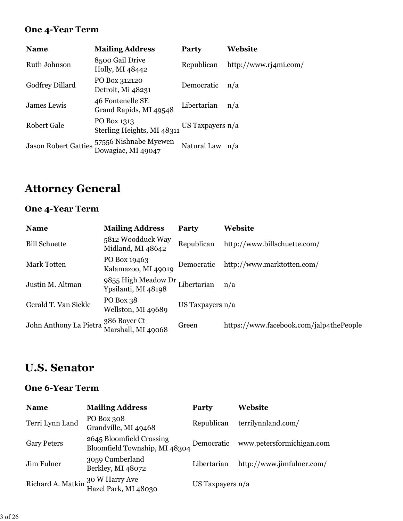### **One 4-Year Term**

| <b>Name</b>                 | <b>Mailing Address</b>                      | Party              | Website               |
|-----------------------------|---------------------------------------------|--------------------|-----------------------|
| Ruth Johnson                | 8500 Gail Drive<br>Holly, MI 48442          | Republican         | http://www.rj4mi.com/ |
| Godfrey Dillard             | PO Box 312120<br>Detroit, Mi 48231          | Democratic         | n/a                   |
| James Lewis                 | 46 Fontenelle SE<br>Grand Rapids, MI 49548  | Libertarian        | n/a                   |
| Robert Gale                 | PO Box 1313<br>Sterling Heights, MI 48311   | US Taxpayers $n/a$ |                       |
| <b>Jason Robert Gatties</b> | 57556 Nishnabe Myewen<br>Dowagiac, MI 49047 | Natural Law n/a    |                       |

# **Attorney General**

### **One 4-Year Term**

| <b>Name</b>            | <b>Mailing Address</b>                     | Party              | Website                                 |
|------------------------|--------------------------------------------|--------------------|-----------------------------------------|
| <b>Bill Schuette</b>   | 5812 Woodduck Way<br>Midland, MI 48642     | Republican         | http://www.billschuette.com/            |
| <b>Mark Totten</b>     | PO Box 19463<br>Kalamazoo, MI 49019        | Democratic         | http://www.marktotten.com/              |
| Justin M. Altman       | 9855 High Meadow Dr<br>Ypsilanti, MI 48198 | Libertarian        | n/a                                     |
| Gerald T. Van Sickle   | PO Box 38<br>Wellston, MI 49689            | US Taxpayers $n/a$ |                                         |
| John Anthony La Pietra | 386 Boyer Ct<br>Marshall, MI 49068         | Green              | https://www.facebook.com/jalp4thePeople |

# **U.S. Senator**

#### **One 6-Year Term**

| <b>Name</b>                      | <b>Mailing Address</b>                                    | Party              | Website                   |
|----------------------------------|-----------------------------------------------------------|--------------------|---------------------------|
| Terri Lynn Land                  | PO Box 308<br>Grandville, MI 49468                        | Republican         | terrilynnland.com/        |
| <b>Gary Peters</b>               | 2645 Bloomfield Crossing<br>Bloomfield Township, MI 48304 | Democratic         | www.petersformichigan.com |
| Jim Fulner                       | 3059 Cumberland<br>Berkley, MI 48072                      | Libertarian        | http://www.jimfulner.com/ |
| Richard A. Matkin 30 W Harry Ave | Hazel Park, MI 48030                                      | US Taxpayers $n/a$ |                           |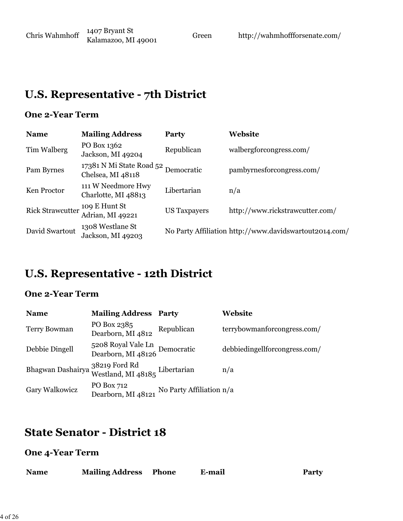# **U.S. Representative - 7th District**

### **One 2-Year Term**

| <b>Name</b>             | <b>Mailing Address</b>                        | Party               | Website                                                |
|-------------------------|-----------------------------------------------|---------------------|--------------------------------------------------------|
| Tim Walberg             | PO Box 1362<br>Jackson, MI 49204              | Republican          | walbergforcongress.com/                                |
| Pam Byrnes              | 17381 N Mi State Road 52<br>Chelsea, MI 48118 | Democratic          | pambyrnesforcongress.com/                              |
| Ken Proctor             | 111 W Needmore Hwy<br>Charlotte, MI 48813     | Libertarian         | n/a                                                    |
| <b>Rick Strawcutter</b> | 109 E Hunt St<br>Adrian, MI 49221             | <b>US</b> Taxpayers | http://www.rickstrawcutter.com/                        |
| David Swartout          | 1308 Westlane St<br>Jackson, MI 49203         |                     | No Party Affiliation http://www.davidswartout2014.com/ |

# **U.S. Representative - 12th District**

### **One 2-Year Term**

| <b>Name</b>         | <b>Mailing Address</b>                              | Party                    | Website                       |
|---------------------|-----------------------------------------------------|--------------------------|-------------------------------|
| <b>Terry Bowman</b> | PO Box 2385<br>Dearborn, MI 4812                    | Republican               | terrybowmanforcongress.com/   |
| Debbie Dingell      | 5208 Royal Vale Ln<br>Dearborn, MI 48126 Democratic |                          | debbiedingellforcongress.com/ |
| Bhagwan Dashairya   | 38219 Ford Rd<br>Westland, MI 48185 Libertarian     |                          | n/a                           |
| Gary Walkowicz      | PO Box 712<br>Dearborn, MI 48121                    | No Party Affiliation n/a |                               |

# **State Senator - District 18**

#### **One 4-Year Term**

| <b>Name</b> | <b>Mailing Address Phone</b> | E-mail | <b>Party</b> |
|-------------|------------------------------|--------|--------------|
|             |                              |        |              |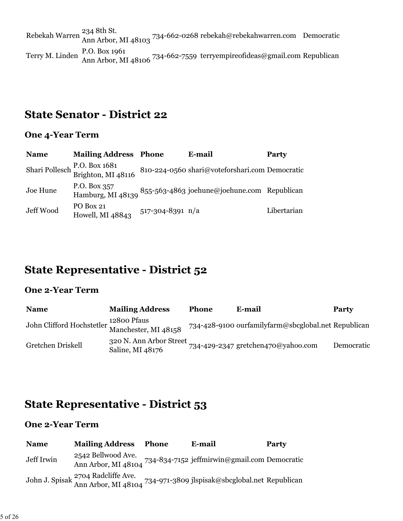Rebekah Warren <sup>234</sup> 8th St.<br>Ann Arbor, MI 48103 <sup>734-662-0268</sup> rebekah@rebekahwarren.com Democratic Terry M. Linden P.O. Box 1961<br>Ann Arbor, MI 48106 <sup>734-662-7559</sup> terryempireofideas@gmail.com Republican

### **State Senator - District 22**

#### **One 4-Year Term**

| <b>Name</b> | <b>Mailing Address Phone</b>                       |                        | E-mail                                                                        | <b>Party</b> |
|-------------|----------------------------------------------------|------------------------|-------------------------------------------------------------------------------|--------------|
|             | Shari Pollesch P.O. Box 1681<br>Brighton, MI 48116 |                        | 810-224-0560 shari@voteforshari.com Democratic                                |              |
| Joe Hune    |                                                    |                        | P.O. Box 357<br>Hamburg, MI 48139 855-563-4863 joehune@joehune.com Republican |              |
| Jeff Wood   | PO Box 21<br>Howell, MI 48843                      | $517 - 304 - 8391$ n/a |                                                                               | Libertarian  |

# **State Representative - District 52**

#### **One 2-Year Term**

| <b>Name</b>                                    | <b>Mailing Address</b>                      | <b>Phone</b> | E-mail                                              | <b>Party</b> |
|------------------------------------------------|---------------------------------------------|--------------|-----------------------------------------------------|--------------|
| John Clifford Hochstetler Manchester, MI 48158 | 12800 Pfaus                                 |              | 734-428-9100 ourfamilyfarm@sbcglobal.net Republican |              |
| Gretchen Driskell                              | 320 N. Ann Arbor Street<br>Saline, MI 48176 |              | $734 - 429 - 2347$ gretchen470@yahoo.com            | Democratic   |

# **State Representative - District 53**

### **One 2-Year Term**

| <b>Name</b> | <b>Mailing Address Phone</b> | E-mail                                                                                                                         | <b>Party</b> |
|-------------|------------------------------|--------------------------------------------------------------------------------------------------------------------------------|--------------|
| Jeff Irwin  | 2542 Bellwood Ave.           | Ann Arbor, MI 48104 734-834-7152 jeffmirwin@gmail.com Democratic                                                               |              |
|             |                              | John J. Spisak <sup>2704</sup> Radcliffe Ave.<br>Ann Arbor, MI 48104 <sup>734-971-3809</sup> jlspisak@sbcglobal.net Republican |              |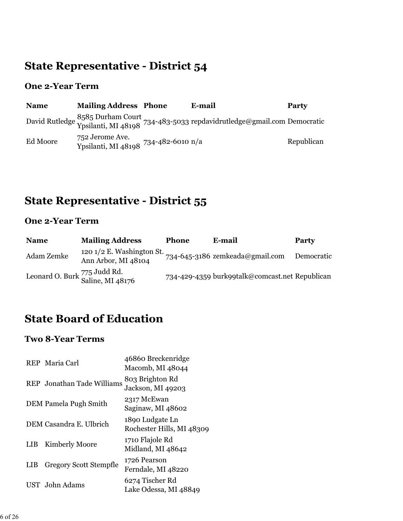# **State Representative - District 54**

### **One 2-Year Term**

| <b>Name</b> | <b>Mailing Address Phone</b>                            | E-mail                                                                                                     | Party      |
|-------------|---------------------------------------------------------|------------------------------------------------------------------------------------------------------------|------------|
|             |                                                         | David Rutledge 8585 Durham Court<br>Ypsilanti, MI 48198 734-483-5033 repdavidrutledge@gmail.com Democratic |            |
| Ed Moore    | 752 Jerome Ave.<br>Ypsilanti, MI 48108 734-482-6010 n/a |                                                                                                            | Republican |

# **State Representative - District 55**

### **One 2-Year Term**

| <b>Name</b> | <b>Mailing Address</b>                             | <b>Phone</b> | E-mail                                         | Party      |
|-------------|----------------------------------------------------|--------------|------------------------------------------------|------------|
| Adam Zemke  | 120 $1/2$ E. Washington St.<br>Ann Arbor, MI 48104 |              | 734-645-3186 zemkeada@gmail.com                | Democratic |
|             | Leonard O. Burk 775 Judd Rd.<br>Saline, MI 48176   |              | 734-429-4359 burk99talk@comcast.net Republican |            |

# **State Board of Education**

### **Two 8-Year Terms**

|            | REP Maria Carl                | 46860 Breckenridge<br>Macomb, MI 48044       |
|------------|-------------------------------|----------------------------------------------|
|            | REP Jonathan Tade Williams    | 803 Brighton Rd<br>Jackson, MI 49203         |
|            | DEM Pamela Pugh Smith         | 2317 McEwan<br>Saginaw, MI 48602             |
|            | DEM Casandra E. Ulbrich       | 1890 Ludgate Ln<br>Rochester Hills, MI 48309 |
| <b>LIB</b> | <b>Kimberly Moore</b>         | 1710 Flajole Rd<br>Midland, MI 48642         |
| <b>LIB</b> | <b>Gregory Scott Stempfle</b> | 1726 Pearson<br>Ferndale, MI 48220           |
|            | UST John Adams                | 6274 Tischer Rd<br>Lake Odessa, MI 48849     |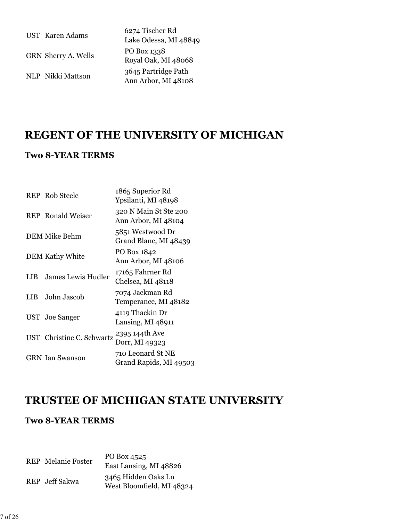| <b>UST</b> Karen Adams | 6274 Tischer Rd<br>Lake Odessa, MI 48849   |
|------------------------|--------------------------------------------|
| GRN Sherry A. Wells    | PO Box 1338<br>Royal Oak, MI 48068         |
| NLP Nikki Mattson      | 3645 Partridge Path<br>Ann Arbor, MI 48108 |

### **REGENT OF THE UNIVERSITY OF MICHIGAN**

#### **Two 8-YEAR TERMS**

|      | <b>REP</b> Rob Steele     | 1865 Superior Rd<br>Ypsilanti, MI 48198      |
|------|---------------------------|----------------------------------------------|
|      | <b>REP</b> Ronald Weiser  | 320 N Main St Ste 200<br>Ann Arbor, MI 48104 |
|      | DEM Mike Behm             | 5851 Westwood Dr<br>Grand Blanc, MI 48439    |
|      | <b>DEM Kathy White</b>    | PO Box 1842<br>Ann Arbor, MI 48106           |
| LIB. | <b>James Lewis Hudler</b> | 17165 Fahrner Rd<br>Chelsea, MI 48118        |
| LIB. | John Jascob               | 7074 Jackman Rd<br>Temperance, MI 48182      |
|      | UST Joe Sanger            | 4119 Thackin Dr<br>Lansing, MI 48911         |
|      | UST Christine C. Schwartz | 2395 144th Ave<br>Dorr, MI 49323             |
|      | <b>GRN</b> Ian Swanson    | 710 Leonard St NE<br>Grand Rapids, MI 49503  |

### **TRUSTEE OF MICHIGAN STATE UNIVERSITY**

#### **Two 8-YEAR TERMS**

REP Melanie Foster PO Box 4525 East Lansing, MI 48826 REP Jeff Sakwa 3465 Hidden Oaks Ln West Bloomfield, MI 48324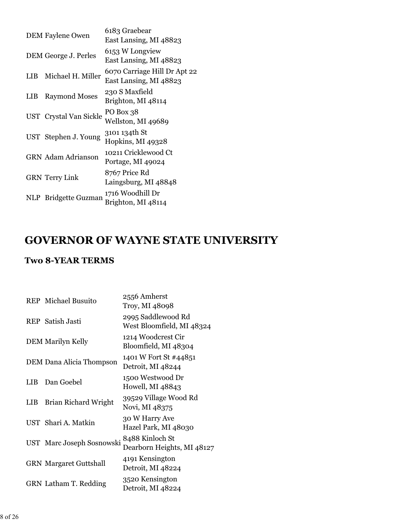|            | <b>DEM Faylene Owen</b>   | 6183 Graebear<br>East Lansing, MI 48823                |
|------------|---------------------------|--------------------------------------------------------|
|            | DEM George J. Perles      | 6153 W Longview<br>East Lansing, MI 48823              |
| <b>LIB</b> | Michael H. Miller         | 6070 Carriage Hill Dr Apt 22<br>East Lansing, MI 48823 |
| LIB        | <b>Raymond Moses</b>      | 230 S Maxfield<br>Brighton, MI 48114                   |
|            | UST Crystal Van Sickle    | PO Box 38<br>Wellston, MI 49689                        |
|            | UST Stephen J. Young      | 3101 134th St<br>Hopkins, MI 49328                     |
|            | <b>GRN</b> Adam Adrianson | 10211 Cricklewood Ct<br>Portage, MI 49024              |
|            | <b>GRN</b> Terry Link     | 8767 Price Rd<br>Laingsburg, MI 48848                  |
|            | NLP Bridgette Guzman      | 1716 Woodhill Dr<br>Brighton, MI 48114                 |
|            |                           |                                                        |

### **GOVERNOR OF WAYNE STATE UNIVERSITY**

### **Two 8-YEAR TERMS**

|            | <b>REP</b> Michael Busuito    | 2556 Amherst<br>Troy, MI 48098                  |
|------------|-------------------------------|-------------------------------------------------|
|            | <b>REP</b> Satish Jasti       | 2995 Saddlewood Rd<br>West Bloomfield, MI 48324 |
|            | <b>DEM Marilyn Kelly</b>      | 1214 Woodcrest Cir<br>Bloomfield, MI 48304      |
|            | DEM Dana Alicia Thompson      | 1401 W Fort St #44851<br>Detroit, MI 48244      |
| LIB        | Dan Goebel                    | 1500 Westwood Dr<br>Howell, MI 48843            |
| <b>LIB</b> | Brian Richard Wright          | 39529 Village Wood Rd<br>Novi, MI 48375         |
|            | UST Shari A. Matkin           | 30 W Harry Ave<br>Hazel Park, MI 48030          |
|            | UST Marc Joseph Sosnowski     | 8488 Kinloch St<br>Dearborn Heights, MI 48127   |
|            | <b>GRN Margaret Guttshall</b> | 4191 Kensington<br>Detroit, MI 48224            |
|            | GRN Latham T. Redding         | 3520 Kensington<br>Detroit, MI 48224            |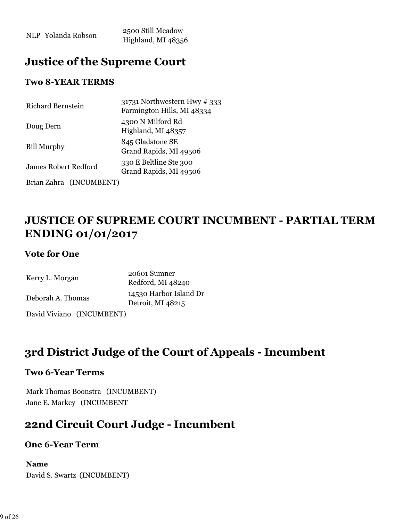NLP Yolanda Robson 2500 Still Meadow Highland, MI 48356

### **Justice of the Supreme Court**

#### **Two 8-YEAR TERMS**

| Richard Bernstein           | 31731 Northwestern Hwy # 333<br>Farmington Hills, MI 48334 |
|-----------------------------|------------------------------------------------------------|
| Doug Dern                   | 4300 N Milford Rd<br>Highland, MI 48357                    |
| <b>Bill Murphy</b>          | 845 Gladstone SE<br>Grand Rapids, MI 49506                 |
| <b>James Robert Redford</b> | 330 E Beltline Ste 300<br>Grand Rapids, MI 49506           |
| Brian Zahra (INCUMBENT)     |                                                            |

### **JUSTICE OF SUPREME COURT INCUMBENT - PARTIAL TERM ENDING 01/01/2017**

#### **Vote for One**

| Kerry L. Morgan           | 20601 Sumner<br>Redford, MI 48240           |  |  |
|---------------------------|---------------------------------------------|--|--|
| Deborah A. Thomas         | 14530 Harbor Island Dr<br>Detroit, MI 48215 |  |  |
| David Viviano (INCUMBENT) |                                             |  |  |

### **3rd District Judge of the Court of Appeals - Incumbent**

#### **Two 6-Year Terms**

Mark Thomas Boonstra (INCUMBENT) Jane E. Markey (INCUMBENT

### **22nd Circuit Court Judge - Incumbent**

#### **One 6-Year Term**

### **Name**

David S. Swartz (INCUMBENT)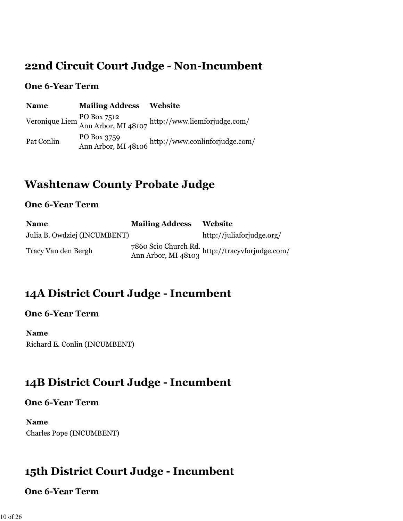### **22nd Circuit Court Judge - Non-Incumbent**

#### **One 6-Year Term**

| <b>Name</b> | <b>Mailing Address Website</b> |                                                                                |
|-------------|--------------------------------|--------------------------------------------------------------------------------|
|             |                                | Veronique Liem PO Box 7512<br>Ann Arbor, MI 48107 http://www.liemforjudge.com/ |
| Pat Conlin  |                                | PO Box 3759<br>Ann Arbor, MI 48106 http://www.conlinforjudge.com/              |

# **Washtenaw County Probate Judge**

#### **One 6-Year Term**

| <b>Name</b>                  | <b>Mailing Address</b> | <b>Website</b>                                                         |
|------------------------------|------------------------|------------------------------------------------------------------------|
| Julia B. Owdziej (INCUMBENT) |                        | http://juliaforjudge.org/                                              |
| Tracy Van den Bergh          |                        | 7860 Scio Church Rd.<br>Ann Arbor, MI 48103 http://tracyvforjudge.com/ |

# **14A District Court Judge - Incumbent**

#### **One 6-Year Term**

**Name** Richard E. Conlin (INCUMBENT)

# **14B District Court Judge - Incumbent**

#### **One 6-Year Term**

**Name** Charles Pope (INCUMBENT)

# **15th District Court Judge - Incumbent**

#### **One 6-Year Term**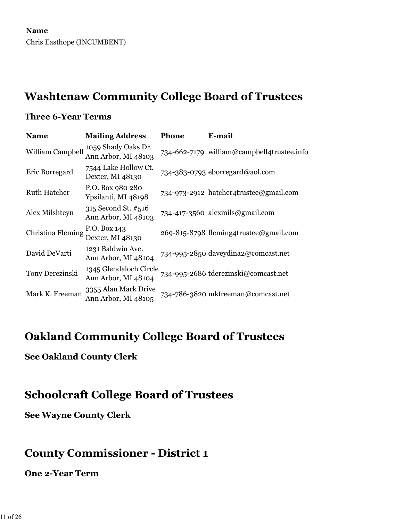### **Washtenaw Community College Board of Trustees**

#### **Three 6-Year Terms**

| <b>Name</b>         | <b>Mailing Address</b>                        | Phone | E-mail                                     |
|---------------------|-----------------------------------------------|-------|--------------------------------------------|
| William Campbell    | 1059 Shady Oaks Dr.<br>Ann Arbor, MI 48103    |       | 734-662-7179 william@campbell4trustee.info |
| Eric Borregard      | 7544 Lake Hollow Ct.<br>Dexter, MI 48130      |       | 734-383-0793 eborregard@aol.com            |
| <b>Ruth Hatcher</b> | P.O. Box 980 280<br>Ypsilanti, MI 48198       |       | 734-973-2912 hatcher4trustee@gmail.com     |
| Alex Milshteyn      | 315 Second St. #516<br>Ann Arbor, MI 48103    |       | 734-417-3560 alexmils@gmail.com            |
| Christina Fleming   | P.O. Box 143<br>Dexter, MI 48130              |       | 269-815-8798 fleming4trustee@gmail.com     |
| David DeVarti       | 1231 Baldwin Ave.<br>Ann Arbor, MI 48104      |       | 734-995-2850 daveydina2@comcast.net        |
| Tony Derezinski     | 1345 Glendaloch Circle<br>Ann Arbor, MI 48104 |       | 734-995-2686 tderezinski@comcast.net       |
| Mark K. Freeman     | 3355 Alan Mark Drive<br>Ann Arbor, MI 48105   |       | 734-786-3820 mkfreeman@comcast.net         |

### **Oakland Community College Board of Trustees**

### **See Oakland County Clerk**

### **Schoolcraft College Board of Trustees**

**See Wayne County Clerk**

# **County Commissioner - District 1**

#### **One 2-Year Term**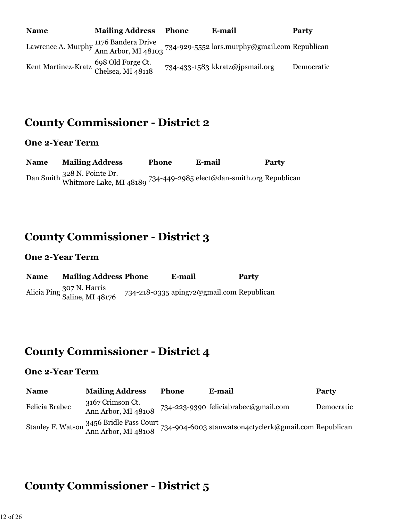| <b>Name</b>                                                | <b>Mailing Address</b> | Phone | E-mail                                                                                                                                   | <b>Party</b> |
|------------------------------------------------------------|------------------------|-------|------------------------------------------------------------------------------------------------------------------------------------------|--------------|
|                                                            |                        |       | Lawrence A. Murphy $\frac{1176 \text{ Bandera Drive}}{\text{Ann Arbor}, \text{MI } 48103}$ 734-929-5552 lars.murphy@gmail.com Republican |              |
| Kent Martinez-Kratz 698 Old Forge Ct.<br>Chelsea, MI 48118 |                        |       | 734-433-1583 kkratz@jpsmail.org                                                                                                          | Democratic   |

### **County Commissioner - District 2**

#### **One 2-Year Term**

**Name Mailing Address Phone E-mail Party** Dan Smith 328 N. Pointe Dr. Whitmore Lake, MI 48189 734-449-2985 elect@dan-smith.org Republican

### **County Commissioner - District 3**

#### **One 2-Year Term**

| <b>Name</b> | <b>Mailing Address Phone</b>                  | E-mail                                    | Party |
|-------------|-----------------------------------------------|-------------------------------------------|-------|
|             | Alicia Ping 307 N. Harris<br>Saline, MI 48176 | 734-218-0335 aping72@gmail.com Republican |       |

### **County Commissioner - District 4**

#### **One 2-Year Term**

| <b>Name</b>    | <b>Mailing Address</b>                  | <b>Phone</b> | E-mail                                                                                         | <b>Party</b> |
|----------------|-----------------------------------------|--------------|------------------------------------------------------------------------------------------------|--------------|
| Felicia Brabec | 3167 Crimson Ct.<br>Ann Arbor, MI 48108 |              | 734-223-9390 feliciabrabec@gmail.com                                                           | Democratic   |
|                |                                         |              | Stanley F. Watson 3456 Bridle Pass Court 734-904-6003 stanwatson4ctyclerk@gmail.com Republican |              |

# **County Commissioner - District 5**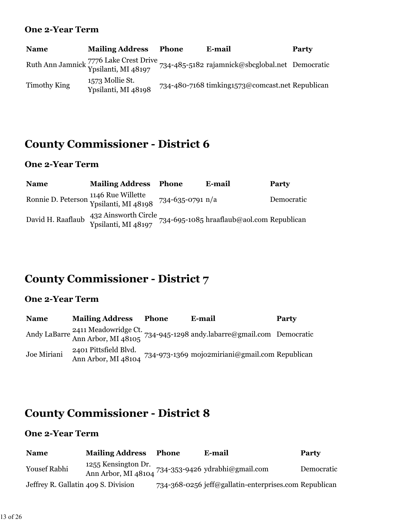#### **One 2-Year Term**

| <b>Name</b>  | <b>Mailing Address</b>                 | <b>Phone</b> | E-mail                                                                                                        | Party |
|--------------|----------------------------------------|--------------|---------------------------------------------------------------------------------------------------------------|-------|
|              |                                        |              | Ruth Ann Jamnick 7776 Lake Crest Drive<br>Ypsilanti, MI 48197 734-485-5182 rajamnick@sbcglobal.net Democratic |       |
| Timothy King | 1573 Mollie St.<br>Ypsilanti, MI 48198 |              | 734-480-7168 timking1573@comcast.net Republican                                                               |       |

# **County Commissioner - District 6**

### **One 2-Year Term**

| <b>Name</b>       | <b>Mailing Address Phone</b>                                                 | E-mail                                    | Party      |
|-------------------|------------------------------------------------------------------------------|-------------------------------------------|------------|
|                   | Ronnie D. Peterson 1146 Rue Willette<br>Ypsilanti, MI 48198 734-635-0791 n/a |                                           | Democratic |
| David H. Raaflaub | 432 Ainsworth Circle<br>Ypsilanti, MI 48197                                  | 734-695-1085 hraaflaub@aol.com Republican |            |

# **County Commissioner - District 7**

### **One 2-Year Term**

| <b>Name</b> | <b>Mailing Address</b>                       | Phone | E-mail                                                                                                             | Party |
|-------------|----------------------------------------------|-------|--------------------------------------------------------------------------------------------------------------------|-------|
|             |                                              |       | Andy LaBarre <sup>2411</sup> Meadowridge Ct.<br>Ann Arbor, MI 48105 734-945-1298 andy labarre@gmail.com Democratic |       |
| Joe Miriani | 2401 Pittsfield Blvd.<br>Ann Arbor, MI 48104 |       | 734-973-1369 mojo2miriani@gmail.com Republican                                                                     |       |

# **County Commissioner - District 8**

### **One 2-Year Term**

| <b>Name</b>                         | <b>Mailing Address</b> | Phone | E-mail                                                | Party      |
|-------------------------------------|------------------------|-------|-------------------------------------------------------|------------|
| <b>Yousef Rabhi</b>                 | 1255 Kensington Dr.    |       | Ann Arbor, MI 48104 734-353-9426 ydrabhi@gmail.com    | Democratic |
| Jeffrey R. Gallatin 409 S. Division |                        |       | 734-368-0256 jeff@gallatin-enterprises.com Republican |            |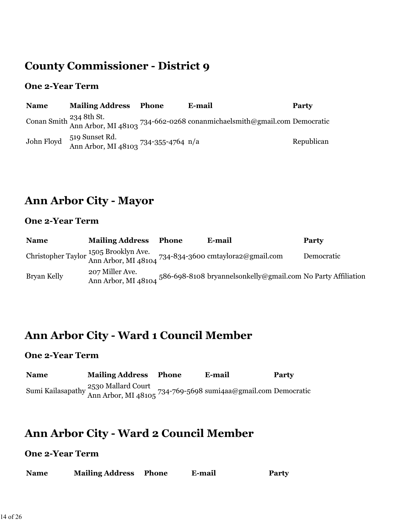# **County Commissioner - District 9**

#### **One 2-Year Term**

| <b>Name</b> | <b>Mailing Address</b>                                            | Phone | E-mail                                                                                                                    | Party      |
|-------------|-------------------------------------------------------------------|-------|---------------------------------------------------------------------------------------------------------------------------|------------|
|             |                                                                   |       | Conan Smith $\frac{234 \text{ 8th St.}}{\text{Ann Arbor, MI } 48103}$ 734-662-0268 conanmichaelsmith@gmail.com Democratic |            |
| John Floyd  | 519 Sunset Rd.<br>Ann Arbor, MI 48103 <sup>734-355-4764</sup> n/a |       |                                                                                                                           | Republican |

# **Ann Arbor City - Mayor**

#### **One 2-Year Term**

| <b>Name</b> | <b>Mailing Address</b>                 | <b>Phone</b> | E-mail                                                                                         | Party      |
|-------------|----------------------------------------|--------------|------------------------------------------------------------------------------------------------|------------|
|             |                                        |              | Christopher Taylor 1505 Brooklyn Ave.<br>Ann Arbor, MI 48104 734-834-3600 cmtaylora2@gmail.com | Democratic |
| Bryan Kelly | 207 Miller Ave.<br>Ann Arbor, MI 48104 |              | 586-698-8108 bryannelsonkelly@gmail.com No Party Affiliation                                   |            |

### **Ann Arbor City - Ward 1 Council Member**

#### **One 2-Year Term**

| <b>Name</b> | <b>Mailing Address Phone</b>                                                                          | E-mail | <b>Party</b> |
|-------------|-------------------------------------------------------------------------------------------------------|--------|--------------|
|             | Sumi Kailasapathy 2530 Mallard Court<br>Ann Arbor, MI 48105 734-769-5698 sumi4aa@gmail.com Democratic |        |              |

### **Ann Arbor City - Ward 2 Council Member**

### **One 2-Year Term**

| <b>Mailing Address</b><br><b>Name</b> | Phone<br>E-mail | <b>Party</b> |
|---------------------------------------|-----------------|--------------|
|---------------------------------------|-----------------|--------------|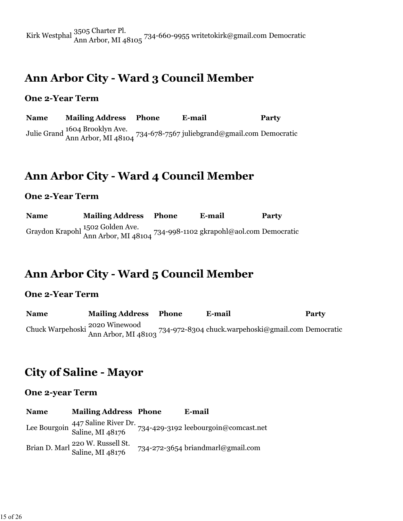Kirk Westphal 3505 Charter Pl. Ann Arbor, MI 48105 734-660-9955 writetokirk@gmail.com Democratic

### **Ann Arbor City - Ward 3 Council Member**

#### **One 2-Year Term**

**Name Mailing Address Phone E-mail Party** Julie Grand 1604 Brooklyn Ave. Ann Arbor, MI 48104 734-678-7567 juliebgrand@gmail.com Democratic

### **Ann Arbor City - Ward 4 Council Member**

#### **One 2-Year Term**

**Name Mailing Address Phone E-mail Party** Graydon Krapohl 1502 Golden Ave. Ann Arbor, MI 48104 734-998-1102 gkrapohl@aol.com Democratic

### **Ann Arbor City - Ward 5 Council Member**

#### **One 2-Year Term**

**Name Mailing Address Phone E-mail Party** Chuck Warpehoski 2020 Winewood Ann Arbor, MI 48103 734-972-8304 chuck.warpehoski@gmail.com Democratic

### **City of Saline - Mayor**

#### **One 2-year Term**

**Name Mailing Address Phone E-mail** Lee Bourgoin 447 Saline River Dr. Saline, MI 48176 734-429-3192 leebourgoin@comcast.net Brian D. Marl 220 W. Russell St. 734-272-3654 briandmarl@gmail.com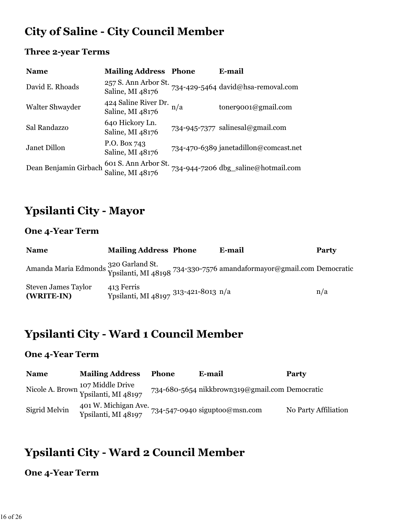# **City of Saline - City Council Member**

### **Three 2-year Terms**

| <b>Name</b>           | <b>Mailing Address Phone</b>             |     | E-mail                                |
|-----------------------|------------------------------------------|-----|---------------------------------------|
| David E. Rhoads       | 257 S. Ann Arbor St.<br>Saline, MI 48176 |     | 734-429-5464 david@hsa-removal.com    |
| Walter Shwayder       | 424 Saline River Dr.<br>Saline, MI 48176 | n/a | $\text{tonergoo1@gmail.com}$          |
| Sal Randazzo          | 640 Hickory Ln.<br>Saline, MI 48176      |     | 734-945-7377 salinesal@gmail.com      |
| Janet Dillon          | P.O. Box 743<br>Saline, MI 48176         |     | 734-470-6389 janetadillon@comcast.net |
| Dean Benjamin Girbach | 601 S. Ann Arbor St.<br>Saline, MI 48176 |     | 734-944-7206 dbg_saline@hotmail.com   |

### **Ypsilanti City - Mayor**

### **One 4-Year Term**

| <b>Name</b>                              | <b>Mailing Address Phone</b>                       | E-mail                                                                                                                  | <b>Party</b> |
|------------------------------------------|----------------------------------------------------|-------------------------------------------------------------------------------------------------------------------------|--------------|
|                                          |                                                    | Amanda Maria Edmonds 320 Garland St.<br>Ypsilanti, MI 48198 <sup>734-330-7576</sup> amandaformayor@gmail.com Democratic |              |
| <b>Steven James Taylor</b><br>(WRITE-IN) | 413 Ferris<br>Ypsilanti, MI 48197 313-421-8013 n/a |                                                                                                                         | n/a          |

### **Ypsilanti City - Ward 1 Council Member**

#### **One 4-Year Term**

| <b>Name</b>   | <b>Mailing Address</b>                                  | <b>Phone</b> | E-mail                                         | Party                |
|---------------|---------------------------------------------------------|--------------|------------------------------------------------|----------------------|
|               | Nicole A. Brown 107 Middle Drive<br>Ypsilanti, MI 48197 |              | 734-680-5654 nikkbrown319@gmail.com Democratic |                      |
| Sigrid Melvin | 401 W. Michigan Ave.<br>Ypsilanti, MI 48197             |              | $734 - 547 - 0940$ siguptoo@msn.com            | No Party Affiliation |

# **Ypsilanti City - Ward 2 Council Member**

### **One 4-Year Term**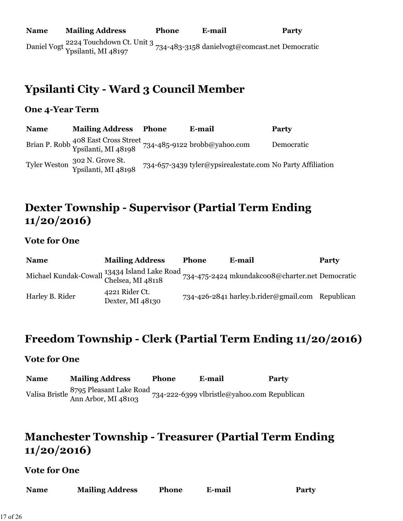**Name Mailing Address Phone E-mail Party** Daniel Vogt 2224 Touchdown Ct. Unit 3 Ypsilanti, MI 48197 734-483-3158 danielvogt@comcast.net Democratic

### **Ypsilanti City - Ward 3 Council Member**

#### **One 4-Year Term**

**Name Mailing Address Phone E-mail Party** Brian P. Robb <sup>408</sup> East Cross Street<br>Ypsilanti, MI 48198 734-485-9122 brobb@yahoo.com Democratic Tyler Weston 302 N. Grove St. 734-657-3439 tyler@ypsirealestate.com No Party Affiliation

### **Dexter Township - Supervisor (Partial Term Ending 11/20/2016)**

#### **Vote for One**

| <b>Name</b>                                  | <b>Mailing Address</b>             | <b>Phone</b> | E-mail                                           | <b>Party</b> |
|----------------------------------------------|------------------------------------|--------------|--------------------------------------------------|--------------|
| Michael Kundak-Cowall 13434 Island Lake Road |                                    |              | 734-475-2424 mkundakcoo8@charter.net Democratic  |              |
| Harley B. Rider                              | 4221 Rider Ct.<br>Dexter, MI 48130 |              | 734-426-2841 harley.b.rider@gmail.com Republican |              |

### **Freedom Township - Clerk (Partial Term Ending 11/20/2016)**

#### **Vote for One**

**Name Mailing Address Phone E-mail Party** Valisa Bristle 8795 Pleasant Lake Road Ann Arbor, MI 48103 734-222-6399 vlbristle@yahoo.com Republican

### **Manchester Township - Treasurer (Partial Term Ending 11/20/2016)**

#### **Vote for One**

| <b>Mailing Address</b><br><b>Name</b><br>E-mail<br><b>Phone</b> |  |  |  |  | <b>Party</b> |
|-----------------------------------------------------------------|--|--|--|--|--------------|
|-----------------------------------------------------------------|--|--|--|--|--------------|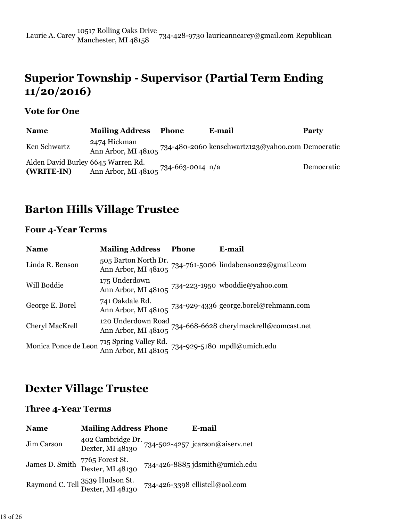### **Superior Township - Supervisor (Partial Term Ending 11/20/2016)**

### **Vote for One**

| <b>Name</b>                                      | <b>Mailing Address</b>               | <b>Phone</b> | E-mail | Party      |
|--------------------------------------------------|--------------------------------------|--------------|--------|------------|
| Ken Schwartz                                     | 2474 Hickman                         |              |        |            |
| Alden David Burley 6645 Warren Rd.<br>(WRITE-IN) | Ann Arbor, MI 48105 734-663-0014 n/a |              |        | Democratic |

### **Barton Hills Village Trustee**

### **Four 4-Year Terms**

| <b>Name</b>          | <b>Mailing Address</b>                                                   | <b>Phone</b> | E-mail                                                                                                                |
|----------------------|--------------------------------------------------------------------------|--------------|-----------------------------------------------------------------------------------------------------------------------|
| Linda R. Benson      |                                                                          |              | 505 Barton North Dr. 734-761-5006 lindabenson22@gmail.com<br>Ann Arbor, MI 48105 734-761-5006 lindabenson22@gmail.com |
| Will Boddie          | 175 Underdown                                                            |              | Ann Arbor, MI 48105 734-223-1950 wboddie@yahoo.com                                                                    |
| George E. Borel      | 741 Oakdale Rd.                                                          |              | Ann Arbor, MI 48105 734-929-4336 george.borel@rehmann.com                                                             |
| Cheryl MacKrell      |                                                                          |              | 120 Underdown Road<br>Ann Arbor, MI 48105 734-668-6628 cherylmackrell@comcast.net                                     |
| Monica Ponce de Leon | 715 Spring Valley Rd.<br>Ann Arbor, MI 48105 734-929-5180 mpdl@umich.edu |              |                                                                                                                       |

### **Dexter Village Trustee**

#### **Three 4-Year Terms**

| <b>Name</b>    | <b>Mailing Address Phone</b>                        | E-mail                                                                |
|----------------|-----------------------------------------------------|-----------------------------------------------------------------------|
| Jim Carson     |                                                     | 402 Cambridge Dr. 734-502-4257 jcarson@aiserv.net<br>Dexter, MI 48130 |
| James D. Smith | 7765 Forest St.<br>Dexter, MI 48130                 | 734-426-8885 jdsmith@umich.edu                                        |
|                | Raymond C. Tell 3539 Hudson St.<br>Dexter, MI 48130 | 734-426-3398 ellistell@aol.com                                        |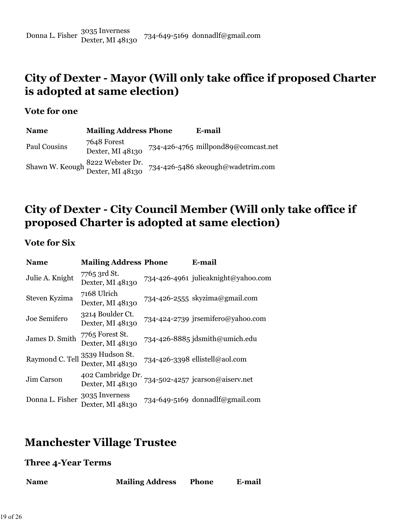Donna L. Fisher 3035 Inverness Dexter, MI 48130 734-649-5169 donnadlf@gmail.com

### **City of Dexter - Mayor (Will only take office if proposed Charter is adopted at same election)**

#### **Vote for one**

| <b>Name</b>  | <b>Mailing Address Phone</b>                         | E-mail                              |
|--------------|------------------------------------------------------|-------------------------------------|
| Paul Cousins | 7648 Forest<br>Dexter, MI 48130                      | 734-426-4765 millpond89@comcast.net |
|              | Shawn W. Keough 8222 Webster Dr.<br>Dexter, MI 48130 | 734-426-5486 skeough@wadetrim.com   |

### **City of Dexter - City Council Member (Will only take office if proposed Charter is adopted at same election)**

#### **Vote for Six**

| <b>Name</b>     | <b>Mailing Address Phone</b>          | E-mail                              |
|-----------------|---------------------------------------|-------------------------------------|
| Julie A. Knight | 7765 3rd St.<br>Dexter, MI 48130      | 734-426-4961 julieaknight@yahoo.com |
| Steven Kyzima   | 7168 Ulrich<br>Dexter, MI 48130       | 734-426-2555 skyzima@gmail.com      |
| Joe Semifero    | 3214 Boulder Ct.<br>Dexter, MI 48130  | 734-424-2739 jrsemifero@yahoo.com   |
| James D. Smith  | 7765 Forest St.<br>Dexter, MI 48130   | 734-426-8885 jdsmith@umich.edu      |
| Raymond C. Tell | 3539 Hudson St.<br>Dexter, MI 48130   | 734-426-3398 ellistell@aol.com      |
| Jim Carson      | 402 Cambridge Dr.<br>Dexter, MI 48130 | 734-502-4257 jcarson@aiserv.net     |
| Donna L. Fisher | 3035 Inverness<br>Dexter, MI 48130    | 734-649-5169 donnadlf@gmail.com     |

### **Manchester Village Trustee**

#### **Three 4-Year Terms**

| <b>Name</b> | <b>Mailing Address</b> | <b>Phone</b> | E-mail |
|-------------|------------------------|--------------|--------|
|             |                        |              |        |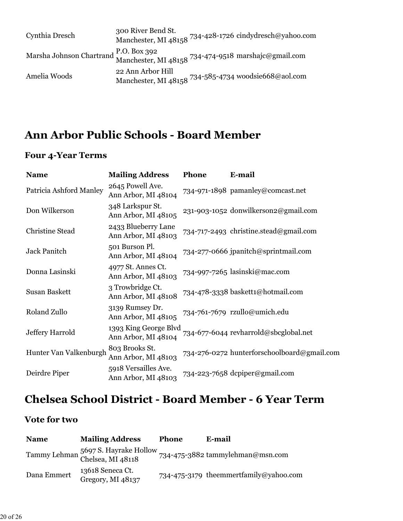| Cynthia Dresch                                                                                | 300 River Bend St.                                                        | Manchester, MI 48158 734-428-1726 cindydresch@yahoo.com |
|-----------------------------------------------------------------------------------------------|---------------------------------------------------------------------------|---------------------------------------------------------|
| Marsha Johnson Chartrand P.O. Box 392<br>Manchester, MI 48158 734-474-9518 marshajc@gmail.com |                                                                           |                                                         |
| Amelia Woods                                                                                  | 22 Ann Arbor Hill<br>Manchester, MI 48158 734-585-4734 woodsie668@aol.com |                                                         |

### **Ann Arbor Public Schools - Board Member**

### **Four 4-Year Terms**

| <b>Name</b>             | <b>Mailing Address</b>                       | Phone | E-mail                                      |
|-------------------------|----------------------------------------------|-------|---------------------------------------------|
| Patricia Ashford Manley | 2645 Powell Ave.<br>Ann Arbor, MI 48104      |       | 734-971-1898 pamanley@comcast.net           |
| Don Wilkerson           | 348 Larkspur St.<br>Ann Arbor, MI 48105      |       | 231-903-1052 donwilkerson2@gmail.com        |
| Christine Stead         | 2433 Blueberry Lane<br>Ann Arbor, MI 48103   |       | 734-717-2493 christine.stead@gmail.com      |
| <b>Jack Panitch</b>     | 501 Burson Pl.<br>Ann Arbor, MI 48104        |       | 734-277-0666 jpanitch@sprintmail.com        |
| Donna Lasinski          | 4977 St. Annes Ct.<br>Ann Arbor, MI 48103    |       | 734-997-7265 lasinski@mac.com               |
| <b>Susan Baskett</b>    | 3 Trowbridge Ct.<br>Ann Arbor, MI 48108      |       | 734-478-3338 baskett1@hotmail.com           |
| Roland Zullo            | 3139 Rumsey Dr.<br>Ann Arbor, MI 48105       |       | 734-761-7679 rzullo@umich.edu               |
| Jeffery Harrold         | 1393 King George Blvd<br>Ann Arbor, MI 48104 |       | 734-677-6044 revharrold@sbcglobal.net       |
| Hunter Van Valkenburgh  | 803 Brooks St.<br>Ann Arbor, MI 48103        |       | 734-276-0272 hunterforschoolboard@gmail.com |
| Deirdre Piper           | 5918 Versailles Ave.<br>Ann Arbor, MI 48103  |       | 734-223-7658 dcpiper@gmail.com              |

# **Chelsea School District - Board Member - 6 Year Term**

### **Vote for two**

| <b>Name</b> | <b>Mailing Address</b>                                   | <b>Phone</b> | E-mail                                 |
|-------------|----------------------------------------------------------|--------------|----------------------------------------|
|             | Tammy Lehman 5697 S. Hayrake Hollow<br>Chelsea, MI 48118 |              | 734-475-3882 tammylehman@msn.com       |
| Dana Emmert | 13618 Seneca Ct.<br>Gregory, MI 48137                    |              | 734-475-3179 theemmertfamily@yahoo.com |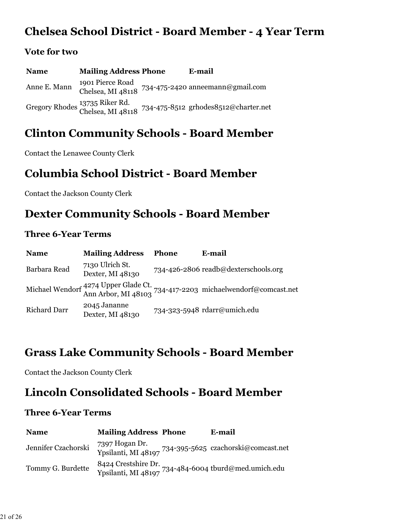### **Chelsea School District - Board Member - 4 Year Term**

#### **Vote for two**

**Name Mailing Address Phone E-mail** Anne E. Mann 1901 Pierce Road Chelsea, MI 48118 734-475-2420 anneemann@gmail.com Gregory Rhodes 13735 Riker Rd. Chelsea, MI 48118 734-475-8512 grhodes8512@charter.net

### **Clinton Community Schools - Board Member**

Contact the Lenawee County Clerk

### **Columbia School District - Board Member**

Contact the Jackson County Clerk

### **Dexter Community Schools - Board Member**

#### **Three 6-Year Terms**

| <b>Name</b>         | <b>Mailing Address</b>              | <b>Phone</b> | E-mail                                                                                              |
|---------------------|-------------------------------------|--------------|-----------------------------------------------------------------------------------------------------|
| Barbara Read        | 7130 Ulrich St.<br>Dexter, MI 48130 |              | 734-426-2806 readb@dexterschools.org                                                                |
|                     |                                     |              | Michael Wendorf 4274 Upper Glade Ct.<br>Ann Arbor, MI 48103 734-417-2203 michaelwendorf@comcast.net |
| <b>Richard Darr</b> | 2045 Jananne<br>Dexter, MI 48130    |              | 734-323-5948 rdarr@umich.edu                                                                        |

### **Grass Lake Community Schools - Board Member**

Contact the Jackson County Clerk

### **Lincoln Consolidated Schools - Board Member**

#### **Three 6-Year Terms**

| <b>Name</b>         | <b>Mailing Address Phone</b>          | E-mail                                                                      |
|---------------------|---------------------------------------|-----------------------------------------------------------------------------|
| Jennifer Czachorski | 7397 Hogan Dr.<br>Ypsilanti, MI 48197 | 734-395-5625 czachorski@comcast.net                                         |
| Tommy G. Burdette   |                                       | 8424 Crestshire Dr.<br>Ypsilanti, MI 48197 734-484-6004 tburd@med.umich.edu |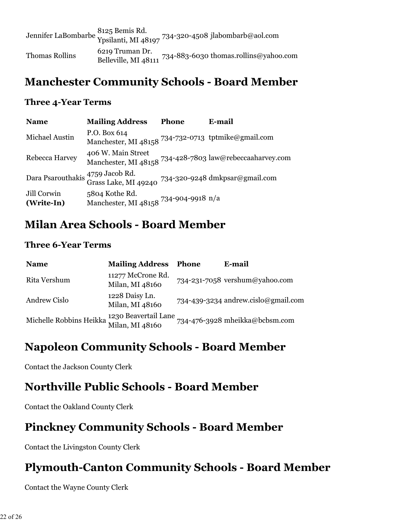|                       |                                         | Jennifer LaBombarbe 8125 Bemis Rd.<br>Ypsilanti, MI 48197 <sup>734-320-4508</sup> jlabombarb@aol.com |
|-----------------------|-----------------------------------------|------------------------------------------------------------------------------------------------------|
| <b>Thomas Rollins</b> | 6219 Truman Dr.<br>Belleville, MI 48111 | 734-883-6030 thomas.rollins@yahoo.com                                                                |

### **Manchester Community Schools - Board Member**

#### **Three 4-Year Terms**

| <b>Name</b>               | <b>Mailing Address</b>                                                                  | <b>Phone</b> | E-mail                                                   |
|---------------------------|-----------------------------------------------------------------------------------------|--------------|----------------------------------------------------------|
| Michael Austin            | P.O. Box 614<br>Manchester, MI 48158 734-732-0713 tptmike@gmail.com                     |              |                                                          |
| Rebecca Harvey            | 406 W. Main Street                                                                      |              | Manchester, MI 48158 734-428-7803 law@rebeccaaharvey.com |
|                           | Dara Psarouthakis 4759 Jacob Rd.<br>Grass Lake, MI 49240 734-320-9248 dmkpsar@gmail.com |              |                                                          |
| Jill Corwin<br>(Write-In) | 5804 Kothe Rd.<br>Manchester, MI 48158 734-904-9918 n/a                                 |              |                                                          |

### **Milan Area Schools - Board Member**

#### **Three 6-Year Terms**

| <b>Name</b>                                                     | <b>Mailing Address</b>               | <b>Phone</b> | E-mail                              |
|-----------------------------------------------------------------|--------------------------------------|--------------|-------------------------------------|
| Rita Vershum                                                    | 11277 McCrone Rd.<br>Milan, MI 48160 |              | 734-231-7058 vershum@yahoo.com      |
| Andrew Cislo                                                    | 1228 Daisy Ln.<br>Milan, MI 48160    |              | 734-439-3234 andrew.cislo@gmail.com |
| Michelle Robbins Heikka 1230 Beavertail Lane<br>Milan, MI 48160 |                                      |              | 734-476-3928 mheikka@bcbsm.com      |

### **Napoleon Community Schools - Board Member**

Contact the Jackson County Clerk

### **Northville Public Schools - Board Member**

Contact the Oakland County Clerk

### **Pinckney Community Schools - Board Member**

Contact the Livingston County Clerk

# **Plymouth-Canton Community Schools - Board Member**

Contact the Wayne County Clerk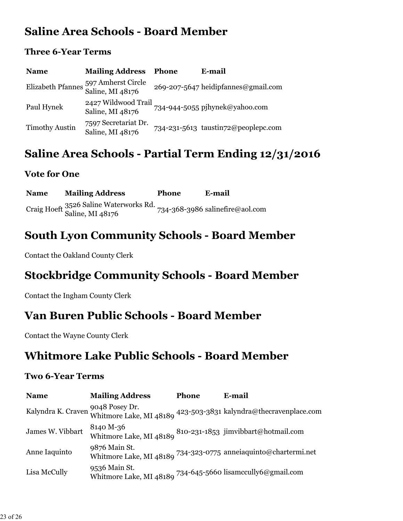### **Saline Area Schools - Board Member**

#### **Three 6-Year Terms**

| <b>Name</b>           | <b>Mailing Address</b>                                   | <b>Phone</b> | E-mail                              |
|-----------------------|----------------------------------------------------------|--------------|-------------------------------------|
|                       | Elizabeth Pfannes 597 Amherst Circle<br>Saline, MI 48176 |              | 269-207-5647 heidipfannes@gmail.com |
| Paul Hynek            | 2427 Wildwood Trail<br>Saline, MI 48176                  |              | 734-944-5055 pjhynek@yahoo.com      |
| <b>Timothy Austin</b> | 7597 Secretariat Dr.<br>Saline, MI 48176                 |              | 734-231-5613 taustin72@peoplepc.com |

### **Saline Area Schools - Partial Term Ending 12/31/2016**

### **Vote for One**

**Name Mailing Address Phone E-mail** Craig Hoeft 3526 Saline Waterworks Rd. Saline, MI 48176 734-368-3986 salinefire@aol.com

### **South Lyon Community Schools - Board Member**

Contact the Oakland County Clerk

# **Stockbridge Community Schools - Board Member**

Contact the Ingham County Clerk

### **Van Buren Public Schools - Board Member**

Contact the Wayne County Clerk

### **Whitmore Lake Public Schools - Board Member**

#### **Two 6-Year Terms**

| <b>Name</b>        | <b>Mailing Address</b>                                                                      | <b>Phone</b> | E-mail                                                                                 |
|--------------------|---------------------------------------------------------------------------------------------|--------------|----------------------------------------------------------------------------------------|
| Kalyndra K. Craven | 9048 Posey Dr.                                                                              |              | Whitmore Lake, MI 48189 423-503-3831 kalyndra@thecravenplace.com                       |
| James W. Vibbart   | 8140 M-36<br>Whitmore Lake, MI 48189 $^{810\text{-}231\text{-}1853}$ jimvibbart@hotmail.com |              |                                                                                        |
| Anne Iaquinto      | 9876 Main St.                                                                               |              | Whitmore Lake, MI 48189 $^{734\text{-}323\text{-}0775}$ annei<br>aquinto@chartermi.net |
| Lisa McCully       | 9536 Main St.<br>Whitmore Lake, MI 48189 734-645-5660 lisamccully6@gmail.com                |              |                                                                                        |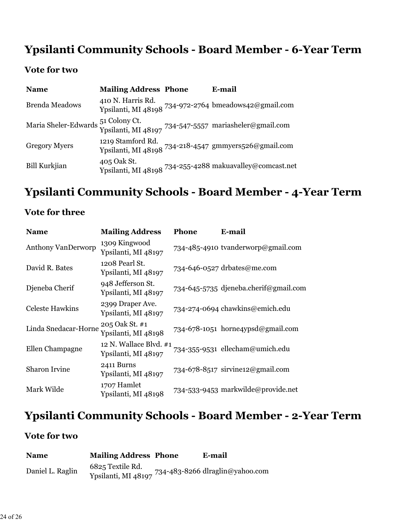# **Ypsilanti Community Schools - Board Member - 6-Year Term**

### **Vote for two**

| <b>Name</b>           | <b>Mailing Address Phone</b> | E-mail                                                                      |
|-----------------------|------------------------------|-----------------------------------------------------------------------------|
| <b>Brenda Meadows</b> | 410 N. Harris Rd.            | Ypsilanti, MI 48198 734-972-2764 bmeadows42@gmail.com                       |
| Maria Sheler-Edwards  |                              | 51 Colony Ct.<br>Ypsilanti, MI 48197 734-547-5557 mariasheler@gmail.com     |
| <b>Gregory Myers</b>  | 1219 Stamford Rd.            | Ypsilanti, MI 48198 734-218-4547 gmmyers526@gmail.com                       |
| <b>Bill Kurkjian</b>  | 405 Oak St.                  | Ypsilanti, MI 48198 $^{734\text{-}255\text{-}4288}$ makuavalley@comcast.net |

### **Ypsilanti Community Schools - Board Member - 4-Year Term**

### **Vote for three**

| <b>Name</b>               | <b>Mailing Address</b>                        | Phone | E-mail                                |
|---------------------------|-----------------------------------------------|-------|---------------------------------------|
| <b>Anthony VanDerworp</b> | 1309 Kingwood<br>Ypsilanti, MI 48197          |       | 734-485-4910 tvanderworp@gmail.com    |
| David R. Bates            | 1208 Pearl St.<br>Ypsilanti, MI 48197         |       | 734-646-0527 drbates@me.com           |
| Djeneba Cherif            | 948 Jefferson St.<br>Ypsilanti, MI 48197      |       | 734-645-5735 djeneba.cherif@gmail.com |
| <b>Celeste Hawkins</b>    | 2399 Draper Ave.<br>Ypsilanti, MI 48197       |       | 734-274-0694 chawkins@emich.edu       |
| Linda Snedacar-Horne      | 205 Oak St. #1<br>Ypsilanti, MI 48198         |       | 734-678-1051 horne4ypsd@gmail.com     |
| Ellen Champagne           | 12 N. Wallace Blvd. #1<br>Ypsilanti, MI 48197 |       | 734-355-9531 ellecham@umich.edu       |
| <b>Sharon Irvine</b>      | 2411 Burns<br>Ypsilanti, MI 48197             |       | 734-678-8517 sirvine12@gmail.com      |
| Mark Wilde                | 1707 Hamlet<br>Ypsilanti, MI 48198            |       | 734-533-9453 markwilde@provide.net    |

# **Ypsilanti Community Schools - Board Member - 2-Year Term**

### **Vote for two**

| <b>Name</b>      | <b>Mailing Address Phone</b>            | E-mail                          |
|------------------|-----------------------------------------|---------------------------------|
| Daniel L. Raglin | 6825 Textile Rd.<br>Ypsilanti, MI 48197 | 734-483-8266 dlraglin@yahoo.com |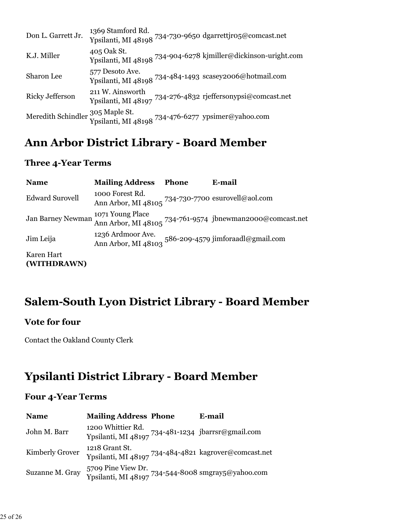| Don L. Garrett Jr.                            | 1369 Stamford Rd. | Ypsilanti, MI 48198 734-730-9650 dgarrettjro5@comcast.net      |
|-----------------------------------------------|-------------------|----------------------------------------------------------------|
| K.J. Miller                                   | 405 Oak St.       | Ypsilanti, MI 48198 734-904-6278 kjmiller@dickinson-uright.com |
| Sharon Lee                                    | 577 Desoto Ave.   | Ypsilanti, MI 48198 734-484-1493 scasey2006@hotmail.com        |
| <b>Ricky Jefferson</b>                        | 211 W. Ainsworth  | Ypsilanti, MI 48197 734-276-4832 rjeffersonypsi@comcast.net    |
| Meredith Schindler $\frac{305}{10}$ Maple St. |                   | Ypsilanti, MI 48198 734-476-6277 ypsimer@yahoo.com             |

### **Ann Arbor District Library - Board Member**

#### **Three 4-Year Terms**

| <b>Name</b>               | <b>Mailing Address</b>                                                                   | <b>Phone</b> | E-mail                                                                        |
|---------------------------|------------------------------------------------------------------------------------------|--------------|-------------------------------------------------------------------------------|
| <b>Edward Surovell</b>    | 1000 Forest Rd.<br>Ann Arbor, MI 48105 $^{734\text{-}730\text{-}7700}$ esurovell@aol.com |              |                                                                               |
| <b>Jan Barney Newman</b>  |                                                                                          |              | 1071 Young Place<br>Ann Arbor, MI 48105 734-761-9574 jbnewman2000@comcast.net |
| Jim Leija                 | 1236 Ardmoor Ave.                                                                        |              | Ann Arbor, MI 48103 586-209-4579 jimforaadl@gmail.com                         |
| Karen Hart<br>(WITHDRAWN) |                                                                                          |              |                                                                               |

### **Salem-South Lyon District Library - Board Member**

#### **Vote for four**

Contact the Oakland County Clerk

### **Ypsilanti District Library - Board Member**

#### **Four 4-Year Terms**

| <b>Name</b>     | <b>Mailing Address Phone</b>                                                        | E-mail |
|-----------------|-------------------------------------------------------------------------------------|--------|
| John M. Barr    | 1200 Whittier Rd.<br>Ypsilanti, MI 48197 734-481-1234 jbarrsr@gmail.com             |        |
| Kimberly Grover | 1218 Grant St.<br>Ypsilanti, MI 48197 734-484-4821 kagrover@comcast.net             |        |
| Suzanne M. Gray | 5709 Pine View Dr.<br>Ypsilanti, MI 48197 <sup>734-544-8008</sup> smgray5@yahoo.com |        |